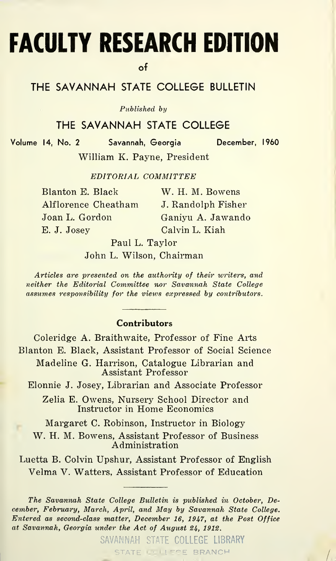# FACULTY RESEARCH EDITION

of

#### THE SAVANNAH STATE COLLEGE BULLETIN

Published by

#### THE SAVANNAH STATE COLLEGE

Volume 14, No. 2 Savannah, Georgia December, I960

William K. Payne, President

EDITORIAL COMMITTEE

| Blanton E. Black    |  |
|---------------------|--|
| Alflorence Cheatham |  |
| Joan L. Gordon      |  |
| E. J. Josey         |  |

W. H. M. Bowens J. Randolph Fisher Ganiyu A. Jawando Calvin L. Kiah

Paul L. Taylor John L. Wilson, Chairman

Articles are presented on the authority of their writers, and neither the Editorial Committee nor Savannah State College assumes responsibility for the views expressed by contributors.

#### Contributors

Coleridge A. Braithwaite, Professor of Fine Arts Blanton E. Black, Assistant Professor of Social Science Madeline G. Harrison, Catalogue Librarian and Assistant Professor Elonnie J. Josey, Librarian and Associate Professor Zelia E. Owens, Nursery School Director and Instructor in Home Economics

Margaret C. Robinson, Instructor in Biology

W. H. M. Bowens, Assistant Professor of Business Administration

Luetta B. Colvin Upshur, Assistant Professor of English Velma V. Watters, Assistant Professor of Education

The Savannah State College Bulletin is published in October, December, February, March, April, and May by Savannah State College. Entered as second-class matter, December 16, 1947, at the Post Office at Savannah, Georgia under the Act of August 24, 1912.

> SAVANNAH STATE COLLEGE LIBRARY STATE COLLEGE BRANCH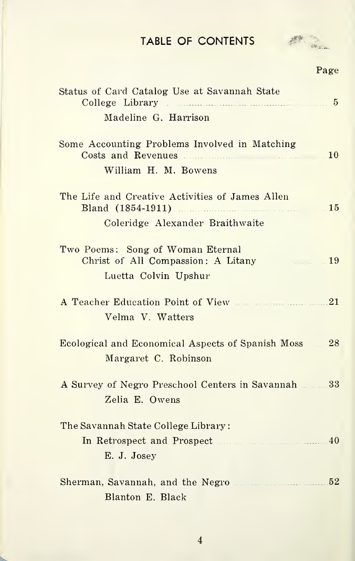## TABLE OF CONTENTS



Page

| Status of Card Catalog Use at Savannah State<br>Madeline G. Harrison                                                         |  |
|------------------------------------------------------------------------------------------------------------------------------|--|
| Some Accounting Problems Involved in Matching<br>Costs and Revenues<br>10<br>William H. M. Bowens                            |  |
| The Life and Creative Activities of James Allen<br>Bland (1854-1911)<br>15<br>a component<br>Coleridge Alexander Braithwaite |  |
| Two Poems: Song of Woman Eternal<br>Christ of All Compassion: A Litany<br>19<br><b>State State</b><br>Luetta Colvin Upshur   |  |
| A Teacher Education Point of View 1996 1997 1998<br>Velma V. Watters                                                         |  |
| Ecological and Economical Aspects of Spanish Moss 28<br>Margaret C. Robinson                                                 |  |
| A Survey of Negro Preschool Centers in Savannah 33<br>Zelia E. Owens                                                         |  |
| The Savannah State College Library:                                                                                          |  |
|                                                                                                                              |  |
| E. J. Josey                                                                                                                  |  |
| Sherman, Savannah, and the Negro                                                                                             |  |
| Blanton E. Black                                                                                                             |  |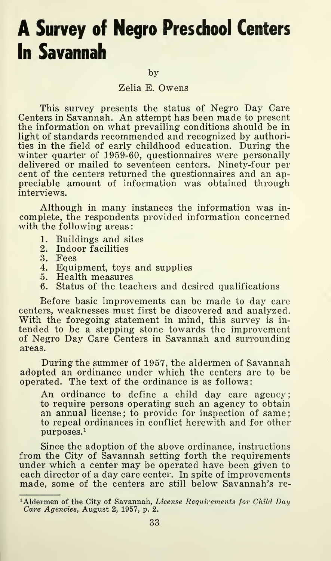### A Survey of Negro Preschool Centers In Savannah

by

Zelia E. Owens

This survey presents the status of Negro Day Care Centers in Savannah. An attempt has been made to present the information on what prevailing conditions should be in light of standards recommended and recognized by authorities in the field of early childhood education. During the winter quarter of 1959-60, questionnaires were personally delivered or mailed to seventeen centers. Ninety-four per cent of the centers returned the questionnaires and an appreciable amount of information was obtained through interviews.

Although in many instances the information was incomplete, the respondents provided information concerned with the following areas:

- 1. Buildings and sites<br>2. Indoor facilities
- 2. Indoor facilities<br>3. Fees
- 3. Fees
- 4. Equipment, toys and supplies<br>5. Health measures
- 5. Health measures<br>6. Status of the tead
- Status of the teachers and desired qualifications

Before basic improvements can be made to day care centers, weaknesses must first be discovered and analyzed. With the foregoing statement in mind, this survey is intended to be a stepping stone towards the improvement of Negro Day Care Centers in Savannah and surroundingareas.

During the summer of 1957, the aldermen of Savannah adopted an ordinance under which the centers are to be operated. The text of the ordinance is as follows:

An ordinance to define a child day care agency; to require persons operating such an agency to obtain an annual license; to provide for inspection of same; to repeal ordinances in conflict herewith and for other  $p$ urposes. $<sup>1</sup>$ </sup>

Since the adoption of the above ordinance, instructions from the City of Savannah setting forth the requirements under which a center may be operated have been given to each director of a day care center. In spite of improvements made, some of the centers are still below Savannah's re-

<sup>&</sup>lt;sup>1</sup>Aldermen of the City of Savannah, License Requirements for Child Day Care Agencies, August 2, 1957, p. 2.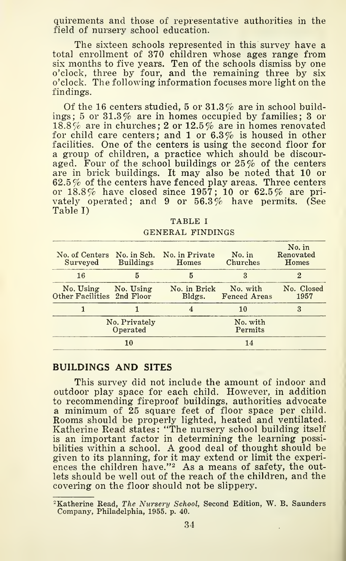quirements and those of representative authorities in the field of nursery school education.

The sixteen schools represented in this survey have a total enrollment of 370 children whose ages range from six months to five years. Ten of the schools dismiss by one o'clock, three by four, and the remaining three by six o'clock. The following information focuses more light on the findings.

Of the 16 centers studied, 5 or  $31.3\%$  are in school buildings; 5 or 31.3% are in homes occupied by families; 3 or  $18.8\%$  are in churches; 2 or  $12.5\%$  are in homes renovated for child care centers; and <sup>1</sup> or 6.3% is housed in other facilities. One of the centers is using the second floor for a group of children, a practice which should be discouraged. Four of the school buildings or 25% of the centers are in brick buildings. It may also be noted that 10 or 62.5% of the centers have fenced play areas. Three centers or 18.8% have closed since 1957; 10 or 62.5% are privately operated; and 9 or  $56.3\%$  have permits. (See Table I)

| Surveyed                                | <b>Buildings</b>          | No. of Centers No. in Sch. No. in Private<br>Homes | No. in<br>Churches              | No. in<br>Renovated<br>Homes |
|-----------------------------------------|---------------------------|----------------------------------------------------|---------------------------------|------------------------------|
| 16                                      | 5                         | 5                                                  | 3                               | 2                            |
| No. Using<br>Other Facilities 2nd Floor | No. Using                 | No. in Brick<br>Bldgs.                             | No. with<br><b>Fenced Areas</b> | No. Closed<br>1957           |
|                                         |                           |                                                    | 10                              | 3                            |
|                                         | No. Privately<br>Operated |                                                    | No. with<br>Permits             |                              |
|                                         | 10                        |                                                    | 14                              |                              |
|                                         |                           |                                                    |                                 |                              |

TABLE <sup>I</sup> GENERAL FINDINGS

#### BUILDINGS AND SITES

This survey did not include the amount of indoor and outdoor play space for each child. However, in addition to recommending fireproof buildings, authorities advocate a minimum of 25 square feet of floor space per child. Rooms should be properly lighted, heated and ventilated. Katherine Read states: 'The nursery school building itself is an important factor in determining the learning possibilities within <sup>a</sup> school. A good deal of thought should be given to its planning, for it may extend or limit the experi ences the children have." $2$  As a means of safety, the outlets should be well out of the reach of the children, and the covering on the floor should not be slippery.

<sup>&</sup>lt;sup>2</sup>Katherine Read, The Nursery School, Second Edition, W. B. Saunders Company, Philadelphia, 1955. p. 40.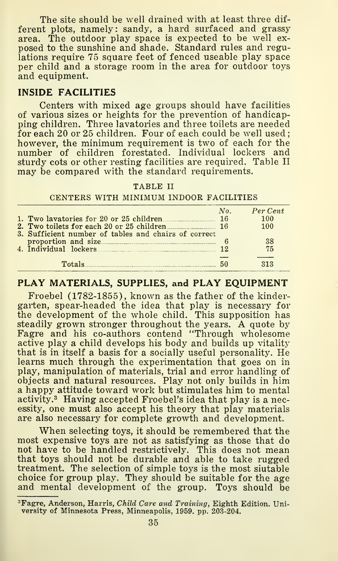The site should be well drained with at least three different plots, namely: sandy, a hard surfaced and grassy area. The outdoor play space is expected to be well ex posed to the sunshine and shade. Standard rules and regulations require 75 square feet of fenced useable play space per child and a storage room in the area for outdoor toys and equipment.

#### INSIDE FACILITIES

Centers with mixed age groups should have facilities of various sizes or heights for the prevention of handicapping children. Three lavatories and three toilets are needed for each 20 or 25 children. Four of each could be well used; however, the minimum requirement is two of each for the number of children forestated. Individual lockers and sturdy cots or other resting facilities are required. Table II may be compared with the standard requirements.

#### TABLE II

#### CENTERS WITH MINIMUM INDOOR FACILITIES

|                                                      | No. | Per Cent |
|------------------------------------------------------|-----|----------|
| 1. Two lavatories for 20 or 25 children              |     | 100      |
| 2. Two toilets for each 20 or 25 children            | -16 | 100      |
| 3. Sufficient number of tables and chairs of correct |     |          |
| proportion and size                                  |     | 38       |
| 4. Individual lockers                                | 19  | 75       |
|                                                      |     |          |
| Totale                                               | 50  | 313      |

#### PLAY MATERIALS, SUPPLIES, and PLAY EQUIPMENT

Froebel (1782-1855), known as the father of the kindergarten, spear-headed the idea that play is necessary for the development of the whole child. This supposition has steadily grown stronger throughout the years. A quote by Fagre and his co-authors contend "Through wholesome active play a child develops his body and builds up vitality that is in itself a basis for a socially useful personality. He learns much through the experimentation that goes on in play, manipulation of materials, trial and error handling of objects and natural resources. Play not only builds in him a happy attitude toward work but stimulates him to mental activity.^ Having accepted Froebel's idea that play is a necessity, one must also accept his theory that play materials are also necessary for complete growth and development.

When selecting toys, it should be remembered that the most expensive toys are not as satisfying as those that do not have to be handled restrictively. This does not mean that toys should not be durable and able to take rugged treatment. The selection of simple toys is the most siutable choice for group play. They should be suitable for the age and mental development of the group. Toys should be

<sup>&#</sup>x27;Fagre, Anderson, Harris, Child Care and Training, Eighth Edition. University of Minnesota Press, Minneapolis, 1959. pp. 203-204.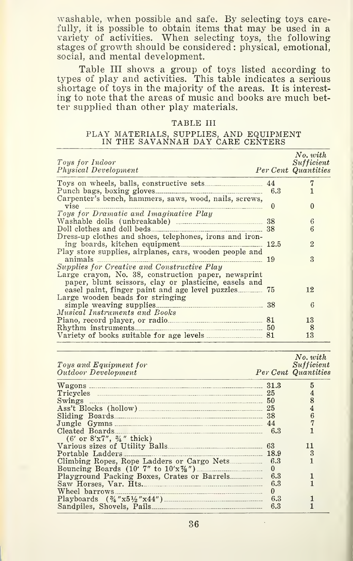washable, when possible and safe. By selecting toys carefully, it is possible to obtain items that may be used in a variety of activities. When selecting toys, the following stages of growth should be considered : physical, emotional, social, and mental development.

Table III shows a group of toys listed according to types of play and activities. This table indicates a serious shortage of toys in the majority of the areas. It is interesting to note that the areas of music and books are much better supplied than other play materials.

#### TABLE III

#### PLAY MATERIALS, SUPPLIES, AND EQUIPMENT IN THE SAVANNAH DAY CARE CENTERS

| Toys for Indoor<br>Physical Development                                                                                                                     |          | No. with<br>Sufficient<br>Per Cent Quantities |
|-------------------------------------------------------------------------------------------------------------------------------------------------------------|----------|-----------------------------------------------|
|                                                                                                                                                             |          | 7                                             |
| Carpenter's bench, hammers, saws, wood, nails, screws,                                                                                                      |          |                                               |
| Toys for Dramatic and Imaginative Play                                                                                                                      | $\theta$ | $\Omega$                                      |
|                                                                                                                                                             |          | 6                                             |
| Doll clothes and doll beds<br>Dress-up clothes and shoes, telephones, irons and iron-                                                                       | 38       | 6                                             |
|                                                                                                                                                             |          | $\overline{2}$                                |
| Play store supplies, airplanes, cars, wooden people and<br>animals<br>$\frac{19}{2}$                                                                        |          | $\mathbf{3}$                                  |
| Supplies for Creative and Constructive Play<br>Large crayon, No. 38, construction paper, newsprint<br>paper, blunt scissors, clay or plasticine, easels and |          |                                               |
| Large wooden beads for stringing                                                                                                                            |          | 12                                            |
| Musical Instruments and Books                                                                                                                               |          | 6                                             |
|                                                                                                                                                             |          | 13                                            |
|                                                                                                                                                             |          | 8                                             |
|                                                                                                                                                             |          | 13                                            |

| Toys and Equipment for                             |          | No. with<br>Sufficient |
|----------------------------------------------------|----------|------------------------|
| Outdoor Development                                |          | Per Cent Quantities    |
|                                                    | 31.3     |                        |
|                                                    |          |                        |
| Swings                                             | 50       |                        |
| Ass't Blocks (hollow) 25                           |          |                        |
|                                                    |          |                        |
| Jungle Gymns 44                                    |          |                        |
|                                                    |          |                        |
| $(6'$ or $8'x7''$ , $\frac{3}{4}$ " thick)         |          |                        |
|                                                    |          |                        |
|                                                    |          |                        |
|                                                    |          |                        |
| Bouncing Boards $(10' 7''$ to $10'x\frac{7}{8}'')$ | $\bf{0}$ |                        |
|                                                    | 6.3      |                        |
| Saw Horses, Var. Hts.                              | 6.3      |                        |
|                                                    | $\bf{0}$ |                        |
|                                                    | 6.3      |                        |
| Sandpiles, Shovels, Pails                          | 6.3      |                        |

36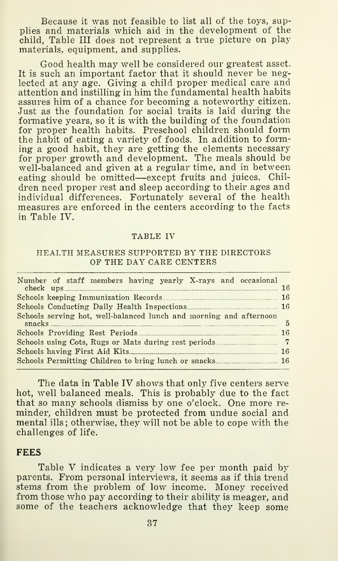Because it was not feasible to list all of the toys, supplies and materials which aid in the development of the child, Table III does not represent a true picture on play materials, equipment, and supplies.

Good health may well be considered our greatest asset. It is such an important factor that it should never be neglected at any age. Giving a child proper medical care and attention and instilling in him the fundamental health habits assures him of a chance for becoming a noteworthy citizen. Just as the foundation for social traits is laid during the formative years, so it is with the building of the foundation for proper health habits. Preschool children should form the habit of eating a variety of foods. In addition to forming a good habit, they are getting the elements necessary for proper growth and development. The meals should be well-balanced and given at a regular time, and in between eating should be omitted—except fruits and juices. Children need proper rest and sleep according to their ages and individual differences. Fortunately several of the health measures are enforced in the centers according to the facts in Table IV.

#### TABLE IV

#### HEALTH MEASURES SUPPORTED BY THE DIRECTORS OF THE DAY CARE CENTERS

| Number of staff members having yearly X-rays and occasional        |  |
|--------------------------------------------------------------------|--|
|                                                                    |  |
|                                                                    |  |
| Schools serving hot, well-balanced lunch and morning and afternoon |  |
|                                                                    |  |
|                                                                    |  |
|                                                                    |  |
|                                                                    |  |

The data in Table IV shows that only five centers serve hot, well balanced meals. This is probably due to the fact that so many schools dismiss by one o'clock. One more re minder, children must be protected from undue social and mental ills ; otherwise, they will not be able to cope with the challenges of life.

#### **FEES**

Table V indicates <sup>a</sup> very low fee per month paid by parents. From personal interviews, it seems as if this trend stems from the problem of low income. Money received from those who pay according to their ability is meager, and some of the teachers acknowledge that they keep some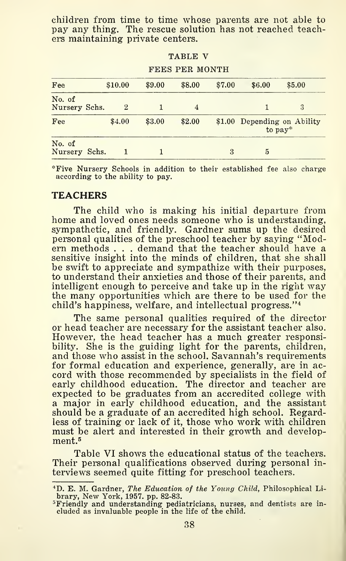children from time to time whose parents are not able to pay any thing. The rescue solution has not reached teachers maintaining private centers.

TABLE V

| FEES PER MONTH          |  |                |        |        |        |                                        |        |
|-------------------------|--|----------------|--------|--------|--------|----------------------------------------|--------|
| Fee                     |  | \$10.00        | \$9.00 | \$8.00 | \$7.00 | \$6.00                                 | \$5.00 |
| No. of<br>Nursery Schs. |  | $\overline{2}$ |        | 4      |        |                                        | 3      |
| Fee                     |  | \$4.00         | \$3.00 | \$2.00 |        | \$1.00 Depending on Ability<br>to pay* |        |
| No. of<br>Nursery Schs. |  |                |        |        | 3      | 5                                      |        |

\*Five Nursery Schools in addition to their established fee also charge according to the ability to pay.

#### **TEACHERS**

The child who is making his initial departure from home and loved ones needs someone who is understanding, sympathetic, and friendly. Gardner sums up the desired personal qualities of the preschool teacher by saying "Modern methods . . . demand that the teacher should have a sensitive insight into the minds of children, that she shall be swift to appreciate and sympathize with their purposes, to understand their anxieties and those of their parents, and intelligent enough to perceive and take up in the right way the many opportunities which are there to be used for the child's happiness, welfare, and intellectual progress."<sup>4</sup>

The same personal qualities required of the director or head teacher are necessary for the assistant teacher also. However, the head teacher has a much greater responsibility. She is the guiding light for the parents, children, and those who assist in the school. Savannah's requirements for formal education and experience, generally, are in ac cord with those recommended by specialists in the field of early childhood education. The director and teacher are expected to be graduates from an accredited college with a major in early childhood education, and the assistant should be a graduate of an accredited high school. Regardless of training or lack of it, those who work with children must be alert and interested in their growth and development.<sup>5</sup>

Table VI shows the educational status of the teachers. Their personal qualifications observed during personal interviews seemed quite fitting for preschool teachers.

<sup>\*</sup>D. E. M. Gardner, The Education of the Young Child, Philosophical Li brary, New York, 1957. pp. 82-83.

<sup>&#</sup>x27;Friendly and understanding pediatricians, nurses, and dentists are in- cluded as invaluable people in the life of the child.